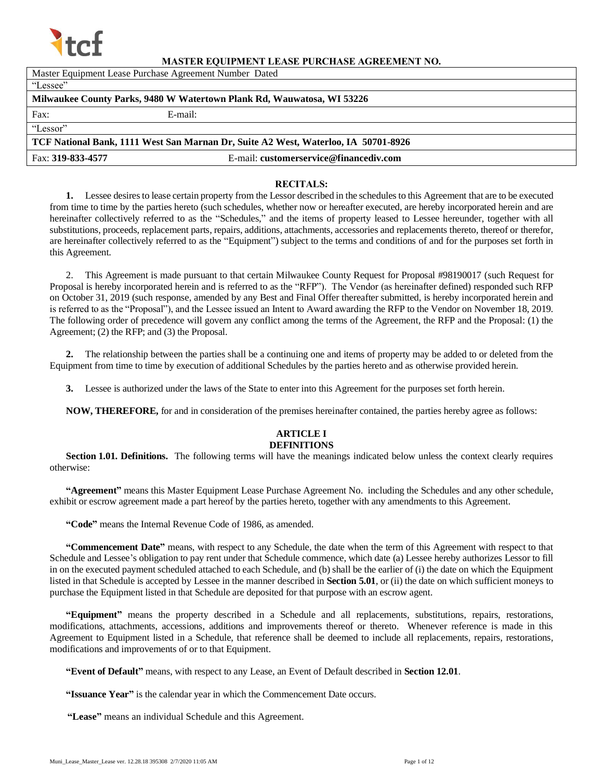

#### **MASTER EQUIPMENT LEASE PURCHASE AGREEMENT NO.**

| Master Equipment Lease Purchase Agreement Number Dated                             |                                        |  |  |  |
|------------------------------------------------------------------------------------|----------------------------------------|--|--|--|
| "Lessee"                                                                           |                                        |  |  |  |
| Milwaukee County Parks, 9480 W Watertown Plank Rd, Wauwatosa, WI 53226             |                                        |  |  |  |
| Fax:                                                                               | E-mail:                                |  |  |  |
| "Lessor"                                                                           |                                        |  |  |  |
| TCF National Bank, 1111 West San Marnan Dr, Suite A2 West, Waterloo, IA 50701-8926 |                                        |  |  |  |
| Fax: 319-833-4577                                                                  | E-mail: customerservice@financediv.com |  |  |  |

#### **RECITALS:**

**1.** Lessee desires to lease certain property from the Lessor described in the schedules to this Agreement that are to be executed from time to time by the parties hereto (such schedules, whether now or hereafter executed, are hereby incorporated herein and are hereinafter collectively referred to as the "Schedules," and the items of property leased to Lessee hereunder, together with all substitutions, proceeds, replacement parts, repairs, additions, attachments, accessories and replacements thereto, thereof or therefor, are hereinafter collectively referred to as the "Equipment") subject to the terms and conditions of and for the purposes set forth in this Agreement.

2. This Agreement is made pursuant to that certain Milwaukee County Request for Proposal #98190017 (such Request for Proposal is hereby incorporated herein and is referred to as the "RFP"). The Vendor (as hereinafter defined) responded such RFP on October 31, 2019 (such response, amended by any Best and Final Offer thereafter submitted, is hereby incorporated herein and is referred to as the "Proposal"), and the Lessee issued an Intent to Award awarding the RFP to the Vendor on November 18, 2019. The following order of precedence will govern any conflict among the terms of the Agreement, the RFP and the Proposal: (1) the Agreement; (2) the RFP; and (3) the Proposal.

**2.** The relationship between the parties shall be a continuing one and items of property may be added to or deleted from the Equipment from time to time by execution of additional Schedules by the parties hereto and as otherwise provided herein.

**3.** Lessee is authorized under the laws of the State to enter into this Agreement for the purposes set forth herein.

**NOW, THEREFORE,** for and in consideration of the premises hereinafter contained, the parties hereby agree as follows:

#### **ARTICLE I DEFINITIONS**

**Section 1.01. Definitions.** The following terms will have the meanings indicated below unless the context clearly requires otherwise:

**"Agreement"** means this Master Equipment Lease Purchase Agreement No. including the Schedules and any other schedule, exhibit or escrow agreement made a part hereof by the parties hereto, together with any amendments to this Agreement.

**"Code"** means the Internal Revenue Code of 1986, as amended.

**"Commencement Date"** means, with respect to any Schedule, the date when the term of this Agreement with respect to that Schedule and Lessee's obligation to pay rent under that Schedule commence, which date (a) Lessee hereby authorizes Lessor to fill in on the executed payment scheduled attached to each Schedule, and (b) shall be the earlier of (i) the date on which the Equipment listed in that Schedule is accepted by Lessee in the manner described in **Section 5.01**, or (ii) the date on which sufficient moneys to purchase the Equipment listed in that Schedule are deposited for that purpose with an escrow agent.

**"Equipment"** means the property described in a Schedule and all replacements, substitutions, repairs, restorations, modifications, attachments, accessions, additions and improvements thereof or thereto. Whenever reference is made in this Agreement to Equipment listed in a Schedule, that reference shall be deemed to include all replacements, repairs, restorations, modifications and improvements of or to that Equipment.

**"Event of Default"** means, with respect to any Lease, an Event of Default described in **Section 12.01**.

- **"Issuance Year"** is the calendar year in which the Commencement Date occurs.
- **"Lease"** means an individual Schedule and this Agreement.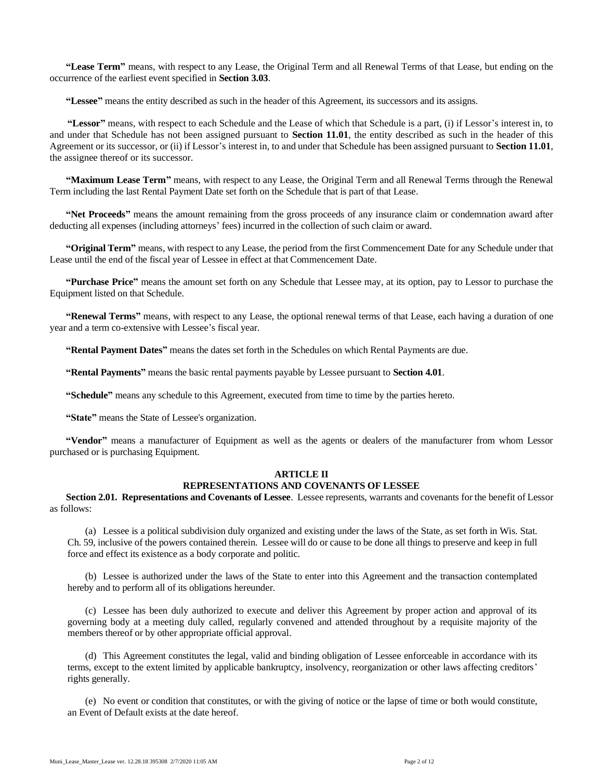**"Lease Term"** means, with respect to any Lease, the Original Term and all Renewal Terms of that Lease, but ending on the occurrence of the earliest event specified in **Section 3.03**.

**"Lessee"** means the entity described as such in the header of this Agreement, its successors and its assigns.

**"Lessor"** means, with respect to each Schedule and the Lease of which that Schedule is a part, (i) if Lessor's interest in, to and under that Schedule has not been assigned pursuant to **Section 11.01**, the entity described as such in the header of this Agreement or its successor, or (ii) if Lessor's interest in, to and under that Schedule has been assigned pursuant to **Section 11.01**, the assignee thereof or its successor.

**"Maximum Lease Term"** means, with respect to any Lease, the Original Term and all Renewal Terms through the Renewal Term including the last Rental Payment Date set forth on the Schedule that is part of that Lease.

**"Net Proceeds"** means the amount remaining from the gross proceeds of any insurance claim or condemnation award after deducting all expenses (including attorneys' fees) incurred in the collection of such claim or award.

**"Original Term"** means, with respect to any Lease, the period from the first Commencement Date for any Schedule under that Lease until the end of the fiscal year of Lessee in effect at that Commencement Date.

**"Purchase Price"** means the amount set forth on any Schedule that Lessee may, at its option, pay to Lessor to purchase the Equipment listed on that Schedule.

**"Renewal Terms"** means, with respect to any Lease, the optional renewal terms of that Lease, each having a duration of one year and a term co-extensive with Lessee's fiscal year.

**"Rental Payment Dates"** means the dates set forth in the Schedules on which Rental Payments are due.

**"Rental Payments"** means the basic rental payments payable by Lessee pursuant to **Section 4.01**.

**"Schedule"** means any schedule to this Agreement, executed from time to time by the parties hereto.

**"State"** means the State of Lessee's organization.

**"Vendor"** means a manufacturer of Equipment as well as the agents or dealers of the manufacturer from whom Lessor purchased or is purchasing Equipment.

#### **ARTICLE II REPRESENTATIONS AND COVENANTS OF LESSEE**

**Section 2.01. Representations and Covenants of Lessee**. Lessee represents, warrants and covenants for the benefit of Lessor as follows:

(a) Lessee is a political subdivision duly organized and existing under the laws of the State, as set forth in Wis. Stat. Ch. 59, inclusive of the powers contained therein. Lessee will do or cause to be done all things to preserve and keep in full force and effect its existence as a body corporate and politic.

(b) Lessee is authorized under the laws of the State to enter into this Agreement and the transaction contemplated hereby and to perform all of its obligations hereunder.

(c) Lessee has been duly authorized to execute and deliver this Agreement by proper action and approval of its governing body at a meeting duly called, regularly convened and attended throughout by a requisite majority of the members thereof or by other appropriate official approval.

(d) This Agreement constitutes the legal, valid and binding obligation of Lessee enforceable in accordance with its terms, except to the extent limited by applicable bankruptcy, insolvency, reorganization or other laws affecting creditors' rights generally.

(e) No event or condition that constitutes, or with the giving of notice or the lapse of time or both would constitute, an Event of Default exists at the date hereof.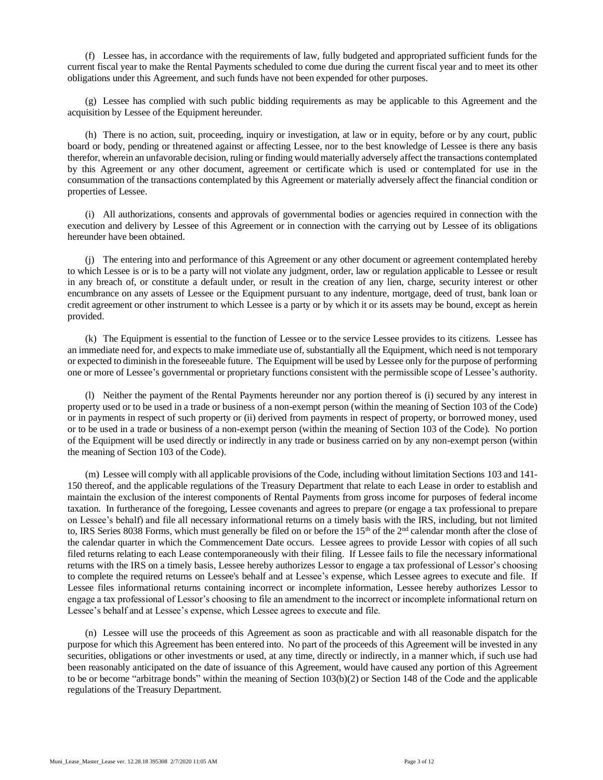(f) Lessee has, in accordance with the requirements of law, fully budgeted and appropriated sufficient funds for the current fiscal year to make the Rental Payments scheduled to come due during the current fiscal year and to meet its other obligations under this Agreement, and such funds have not been expended for other purposes.

(g) Lessee has complied with such public bidding requirements as may be applicable to this Agreement and the acquisition by Lessee of the Equipment hereunder.

(h) There is no action, suit, proceeding, inquiry or investigation, at law or in equity, before or by any court, public board or body, pending or threatened against or affecting Lessee, nor to the best knowledge of Lessee is there any basis therefor, wherein an unfavorable decision, ruling or finding would materially adversely affect the transactions contemplated by this Agreement or any other document, agreement or certificate which is used or contemplated for use in the consummation of the transactions contemplated by this Agreement or materially adversely affect the financial condition or properties of Lessee.

(i) All authorizations, consents and approvals of governmental bodies or agencies required in connection with the execution and delivery by Lessee of this Agreement or in connection with the carrying out by Lessee of its obligations hereunder have been obtained.

(j) The entering into and performance of this Agreement or any other document or agreement contemplated hereby to which Lessee is or is to be a party will not violate any judgment, order, law or regulation applicable to Lessee or result in any breach of, or constitute a default under, or result in the creation of any lien, charge, security interest or other encumbrance on any assets of Lessee or the Equipment pursuant to any indenture, mortgage, deed of trust, bank loan or credit agreement or other instrument to which Lessee is a party or by which it or its assets may be bound, except as herein provided.

(k) The Equipment is essential to the function of Lessee or to the service Lessee provides to its citizens. Lessee has an immediate need for, and expects to make immediate use of, substantially all the Equipment, which need is not temporary or expected to diminish in the foreseeable future. The Equipment will be used by Lessee only for the purpose of performing one or more of Lessee's governmental or proprietary functions consistent with the permissible scope of Lessee's authority.

(l) Neither the payment of the Rental Payments hereunder nor any portion thereof is (i) secured by any interest in property used or to be used in a trade or business of a non-exempt person (within the meaning of Section 103 of the Code) or in payments in respect of such property or (ii) derived from payments in respect of property, or borrowed money, used or to be used in a trade or business of a non-exempt person (within the meaning of Section 103 of the Code). No portion of the Equipment will be used directly or indirectly in any trade or business carried on by any non-exempt person (within the meaning of Section 103 of the Code).

(m) Lessee will comply with all applicable provisions of the Code, including without limitation Sections 103 and 141- 150 thereof, and the applicable regulations of the Treasury Department that relate to each Lease in order to establish and maintain the exclusion of the interest components of Rental Payments from gross income for purposes of federal income taxation. In furtherance of the foregoing, Lessee covenants and agrees to prepare (or engage a tax professional to prepare on Lessee's behalf) and file all necessary informational returns on a timely basis with the IRS, including, but not limited to, IRS Series 8038 Forms, which must generally be filed on or before the 15<sup>th</sup> of the 2<sup>nd</sup> calendar month after the close of the calendar quarter in which the Commencement Date occurs. Lessee agrees to provide Lessor with copies of all such filed returns relating to each Lease contemporaneously with their filing. If Lessee fails to file the necessary informational returns with the IRS on a timely basis, Lessee hereby authorizes Lessor to engage a tax professional of Lessor's choosing to complete the required returns on Lessee's behalf and at Lessee's expense, which Lessee agrees to execute and file. If Lessee files informational returns containing incorrect or incomplete information, Lessee hereby authorizes Lessor to engage a tax professional of Lessor's choosing to file an amendment to the incorrect or incomplete informational return on Lessee's behalf and at Lessee's expense, which Lessee agrees to execute and file.

(n) Lessee will use the proceeds of this Agreement as soon as practicable and with all reasonable dispatch for the purpose for which this Agreement has been entered into. No part of the proceeds of this Agreement will be invested in any securities, obligations or other investments or used, at any time, directly or indirectly, in a manner which, if such use had been reasonably anticipated on the date of issuance of this Agreement, would have caused any portion of this Agreement to be or become "arbitrage bonds" within the meaning of Section 103(b)(2) or Section 148 of the Code and the applicable regulations of the Treasury Department.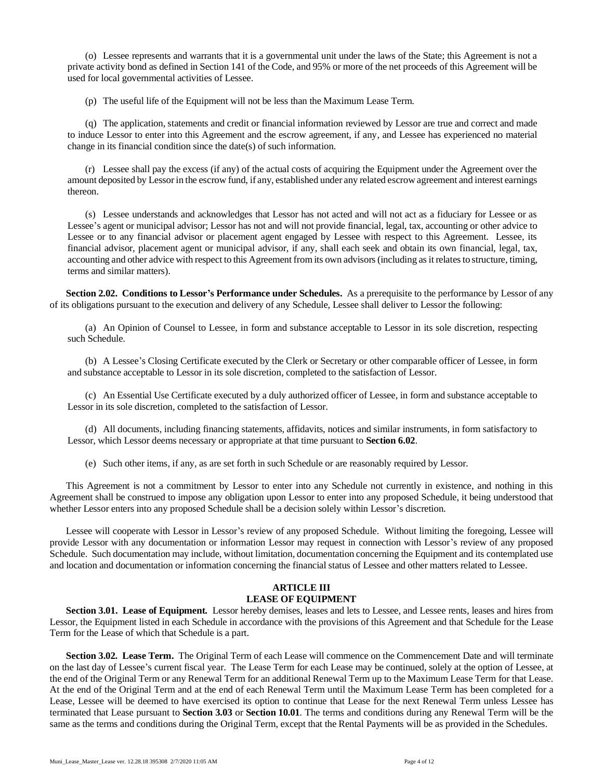(o) Lessee represents and warrants that it is a governmental unit under the laws of the State; this Agreement is not a private activity bond as defined in Section 141 of the Code, and 95% or more of the net proceeds of this Agreement will be used for local governmental activities of Lessee.

(p) The useful life of the Equipment will not be less than the Maximum Lease Term.

(q) The application, statements and credit or financial information reviewed by Lessor are true and correct and made to induce Lessor to enter into this Agreement and the escrow agreement, if any, and Lessee has experienced no material change in its financial condition since the date(s) of such information.

(r) Lessee shall pay the excess (if any) of the actual costs of acquiring the Equipment under the Agreement over the amount deposited by Lessor in the escrow fund, if any, established under any related escrow agreement and interest earnings thereon.

(s) Lessee understands and acknowledges that Lessor has not acted and will not act as a fiduciary for Lessee or as Lessee's agent or municipal advisor; Lessor has not and will not provide financial, legal, tax, accounting or other advice to Lessee or to any financial advisor or placement agent engaged by Lessee with respect to this Agreement. Lessee, its financial advisor, placement agent or municipal advisor, if any, shall each seek and obtain its own financial, legal, tax, accounting and other advice with respect to this Agreement from its own advisors (including as it relates to structure, timing, terms and similar matters).

**Section 2.02. Conditions to Lessor's Performance under Schedules.** As a prerequisite to the performance by Lessor of any of its obligations pursuant to the execution and delivery of any Schedule, Lessee shall deliver to Lessor the following:

(a) An Opinion of Counsel to Lessee, in form and substance acceptable to Lessor in its sole discretion, respecting such Schedule.

(b) A Lessee's Closing Certificate executed by the Clerk or Secretary or other comparable officer of Lessee, in form and substance acceptable to Lessor in its sole discretion, completed to the satisfaction of Lessor.

(c) An Essential Use Certificate executed by a duly authorized officer of Lessee, in form and substance acceptable to Lessor in its sole discretion, completed to the satisfaction of Lessor.

(d) All documents, including financing statements, affidavits, notices and similar instruments, in form satisfactory to Lessor, which Lessor deems necessary or appropriate at that time pursuant to **Section 6.02**.

(e) Such other items, if any, as are set forth in such Schedule or are reasonably required by Lessor.

This Agreement is not a commitment by Lessor to enter into any Schedule not currently in existence, and nothing in this Agreement shall be construed to impose any obligation upon Lessor to enter into any proposed Schedule, it being understood that whether Lessor enters into any proposed Schedule shall be a decision solely within Lessor's discretion.

Lessee will cooperate with Lessor in Lessor's review of any proposed Schedule. Without limiting the foregoing, Lessee will provide Lessor with any documentation or information Lessor may request in connection with Lessor's review of any proposed Schedule. Such documentation may include, without limitation, documentation concerning the Equipment and its contemplated use and location and documentation or information concerning the financial status of Lessee and other matters related to Lessee.

## **ARTICLE III**

#### **LEASE OF EQUIPMENT**

**Section 3.01. Lease of Equipment.** Lessor hereby demises, leases and lets to Lessee, and Lessee rents, leases and hires from Lessor, the Equipment listed in each Schedule in accordance with the provisions of this Agreement and that Schedule for the Lease Term for the Lease of which that Schedule is a part.

**Section 3.02. Lease Term.** The Original Term of each Lease will commence on the Commencement Date and will terminate on the last day of Lessee's current fiscal year. The Lease Term for each Lease may be continued, solely at the option of Lessee, at the end of the Original Term or any Renewal Term for an additional Renewal Term up to the Maximum Lease Term for that Lease. At the end of the Original Term and at the end of each Renewal Term until the Maximum Lease Term has been completed for a Lease, Lessee will be deemed to have exercised its option to continue that Lease for the next Renewal Term unless Lessee has terminated that Lease pursuant to **Section 3.03** or **Section 10.01**. The terms and conditions during any Renewal Term will be the same as the terms and conditions during the Original Term, except that the Rental Payments will be as provided in the Schedules.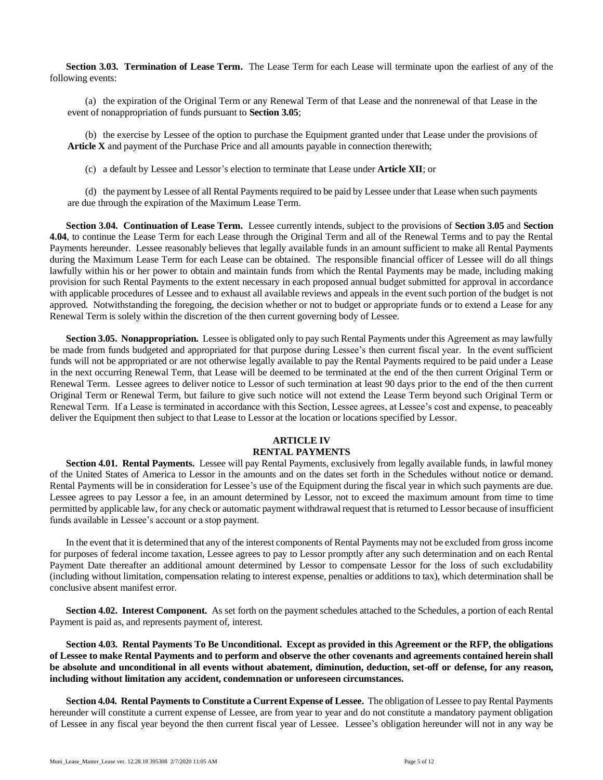**Section 3.03. Termination of Lease Term.** The Lease Term for each Lease will terminate upon the earliest of any of the following events:

(a) the expiration of the Original Term or any Renewal Term of that Lease and the nonrenewal of that Lease in the event of nonappropriation of funds pursuant to **Section 3.05**;

(b) the exercise by Lessee of the option to purchase the Equipment granted under that Lease under the provisions of **Article X** and payment of the Purchase Price and all amounts payable in connection therewith;

(c) a default by Lessee and Lessor's election to terminate that Lease under **Article XII**; or

(d) the payment by Lessee of all Rental Payments required to be paid by Lessee under that Lease when such payments are due through the expiration of the Maximum Lease Term.

**Section 3.04. Continuation of Lease Term.** Lessee currently intends, subject to the provisions of **Section 3.05** and **Section 4.04**, to continue the Lease Term for each Lease through the Original Term and all of the Renewal Terms and to pay the Rental Payments hereunder. Lessee reasonably believes that legally available funds in an amount sufficient to make all Rental Payments during the Maximum Lease Term for each Lease can be obtained. The responsible financial officer of Lessee will do all things lawfully within his or her power to obtain and maintain funds from which the Rental Payments may be made, including making provision for such Rental Payments to the extent necessary in each proposed annual budget submitted for approval in accordance with applicable procedures of Lessee and to exhaust all available reviews and appeals in the event such portion of the budget is not approved. Notwithstanding the foregoing, the decision whether or not to budget or appropriate funds or to extend a Lease for any Renewal Term is solely within the discretion of the then current governing body of Lessee.

**Section 3.05. Nonappropriation.** Lessee is obligated only to pay such Rental Payments under this Agreement as may lawfully be made from funds budgeted and appropriated for that purpose during Lessee's then current fiscal year. In the event sufficient funds will not be appropriated or are not otherwise legally available to pay the Rental Payments required to be paid under a Lease in the next occurring Renewal Term, that Lease will be deemed to be terminated at the end of the then current Original Term or Renewal Term. Lessee agrees to deliver notice to Lessor of such termination at least 90 days prior to the end of the then current Original Term or Renewal Term, but failure to give such notice will not extend the Lease Term beyond such Original Term or Renewal Term. If a Lease is terminated in accordance with this Section, Lessee agrees, at Lessee's cost and expense, to peaceably deliver the Equipment then subject to that Lease to Lessor at the location or locations specified by Lessor.

#### **ARTICLE IV RENTAL PAYMENTS**

**Section 4.01. Rental Payments.** Lessee will pay Rental Payments, exclusively from legally available funds, in lawful money of the United States of America to Lessor in the amounts and on the dates set forth in the Schedules without notice or demand. Rental Payments will be in consideration for Lessee's use of the Equipment during the fiscal year in which such payments are due. Lessee agrees to pay Lessor a fee, in an amount determined by Lessor, not to exceed the maximum amount from time to time permitted by applicable law, for any check or automatic payment withdrawal request that is returned to Lessor because of insufficient funds available in Lessee's account or a stop payment.

In the event that it is determined that any of the interest components of Rental Payments may not be excluded from gross income for purposes of federal income taxation, Lessee agrees to pay to Lessor promptly after any such determination and on each Rental Payment Date thereafter an additional amount determined by Lessor to compensate Lessor for the loss of such excludability (including without limitation, compensation relating to interest expense, penalties or additions to tax), which determination shall be conclusive absent manifest error.

**Section 4.02. Interest Component.** As set forth on the payment schedules attached to the Schedules, a portion of each Rental Payment is paid as, and represents payment of, interest.

**Section 4.03. Rental Payments To Be Unconditional. Except as provided in this Agreement or the RFP, the obligations of Lessee to make Rental Payments and to perform and observe the other covenants and agreements contained herein shall be absolute and unconditional in all events without abatement, diminution, deduction, set-off or defense, for any reason, including without limitation any accident, condemnation or unforeseen circumstances.**

**Section 4.04. Rental Payments to Constitute a Current Expense of Lessee.** The obligation of Lessee to pay Rental Payments hereunder will constitute a current expense of Lessee, are from year to year and do not constitute a mandatory payment obligation of Lessee in any fiscal year beyond the then current fiscal year of Lessee. Lessee's obligation hereunder will not in any way be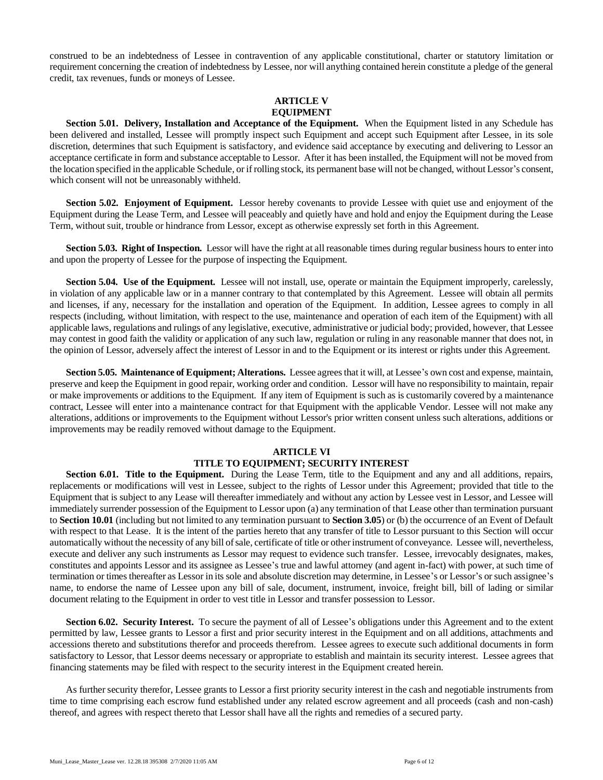construed to be an indebtedness of Lessee in contravention of any applicable constitutional, charter or statutory limitation or requirement concerning the creation of indebtedness by Lessee, nor will anything contained herein constitute a pledge of the general credit, tax revenues, funds or moneys of Lessee.

#### **ARTICLE V EQUIPMENT**

**Section 5.01. Delivery, Installation and Acceptance of the Equipment.** When the Equipment listed in any Schedule has been delivered and installed, Lessee will promptly inspect such Equipment and accept such Equipment after Lessee, in its sole discretion, determines that such Equipment is satisfactory, and evidence said acceptance by executing and delivering to Lessor an acceptance certificate in form and substance acceptable to Lessor. After it has been installed, the Equipment will not be moved from the location specified in the applicable Schedule, or if rolling stock, its permanent base will not be changed, without Lessor's consent, which consent will not be unreasonably withheld.

**Section 5.02. Enjoyment of Equipment.** Lessor hereby covenants to provide Lessee with quiet use and enjoyment of the Equipment during the Lease Term, and Lessee will peaceably and quietly have and hold and enjoy the Equipment during the Lease Term, without suit, trouble or hindrance from Lessor, except as otherwise expressly set forth in this Agreement.

**Section 5.03. Right of Inspection.** Lessor will have the right at all reasonable times during regular business hours to enter into and upon the property of Lessee for the purpose of inspecting the Equipment.

**Section 5.04. Use of the Equipment.** Lessee will not install, use, operate or maintain the Equipment improperly, carelessly, in violation of any applicable law or in a manner contrary to that contemplated by this Agreement. Lessee will obtain all permits and licenses, if any, necessary for the installation and operation of the Equipment. In addition, Lessee agrees to comply in all respects (including, without limitation, with respect to the use, maintenance and operation of each item of the Equipment) with all applicable laws, regulations and rulings of any legislative, executive, administrative or judicial body; provided, however, that Lessee may contest in good faith the validity or application of any such law, regulation or ruling in any reasonable manner that does not, in the opinion of Lessor, adversely affect the interest of Lessor in and to the Equipment or its interest or rights under this Agreement.

**Section 5.05. Maintenance of Equipment; Alterations.** Lessee agrees that it will, at Lessee's own cost and expense, maintain, preserve and keep the Equipment in good repair, working order and condition. Lessor will have no responsibility to maintain, repair or make improvements or additions to the Equipment. If any item of Equipmentis such as is customarily covered by a maintenance contract, Lessee will enter into a maintenance contract for that Equipment with the applicable Vendor. Lessee will not make any alterations, additions or improvements to the Equipment without Lessor's prior written consent unless such alterations, additions or improvements may be readily removed without damage to the Equipment.

## **ARTICLE VI**

## **TITLE TO EQUIPMENT; SECURITY INTEREST**

**Section 6.01. Title to the Equipment.** During the Lease Term, title to the Equipment and any and all additions, repairs, replacements or modifications will vest in Lessee, subject to the rights of Lessor under this Agreement; provided that title to the Equipment that is subject to any Lease will thereafter immediately and without any action by Lessee vest in Lessor, and Lessee will immediately surrender possession of the Equipment to Lessor upon (a) any termination of that Lease other than termination pursuant to **Section 10.01** (including but not limited to any termination pursuant to **Section 3.05**) or (b) the occurrence of an Event of Default with respect to that Lease. It is the intent of the parties hereto that any transfer of title to Lessor pursuant to this Section will occur automatically without the necessity of any bill of sale, certificate of title or other instrument of conveyance. Lessee will, nevertheless, execute and deliver any such instruments as Lessor may request to evidence such transfer. Lessee, irrevocably designates, makes, constitutes and appoints Lessor and its assignee as Lessee's true and lawful attorney (and agent in-fact) with power, at such time of termination or times thereafter as Lessor in its sole and absolute discretion may determine, in Lessee's or Lessor's or such assignee's name, to endorse the name of Lessee upon any bill of sale, document, instrument, invoice, freight bill, bill of lading or similar document relating to the Equipment in order to vest title in Lessor and transfer possession to Lessor.

**Section 6.02. Security Interest.** To secure the payment of all of Lessee's obligations under this Agreement and to the extent permitted by law, Lessee grants to Lessor a first and prior security interest in the Equipment and on all additions, attachments and accessions thereto and substitutions therefor and proceeds therefrom. Lessee agrees to execute such additional documents in form satisfactory to Lessor, that Lessor deems necessary or appropriate to establish and maintain its security interest. Lessee agrees that financing statements may be filed with respect to the security interest in the Equipment created herein.

As further security therefor, Lessee grants to Lessor a first priority security interest in the cash and negotiable instruments from time to time comprising each escrow fund established under any related escrow agreement and all proceeds (cash and non-cash) thereof, and agrees with respect thereto that Lessor shall have all the rights and remedies of a secured party.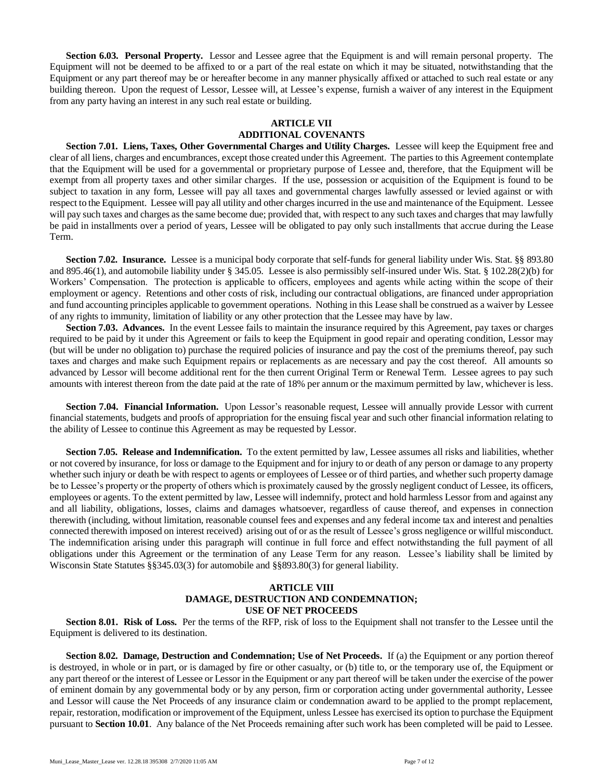**Section 6.03. Personal Property.** Lessor and Lessee agree that the Equipment is and will remain personal property. The Equipment will not be deemed to be affixed to or a part of the real estate on which it may be situated, notwithstanding that the Equipment or any part thereof may be or hereafter become in any manner physically affixed or attached to such real estate or any building thereon. Upon the request of Lessor, Lessee will, at Lessee's expense, furnish a waiver of any interest in the Equipment from any party having an interest in any such real estate or building.

## **ARTICLE VII ADDITIONAL COVENANTS**

**Section 7.01. Liens, Taxes, Other Governmental Charges and Utility Charges.** Lessee will keep the Equipment free and clear of all liens, charges and encumbrances, except those created under this Agreement. The parties to this Agreement contemplate that the Equipment will be used for a governmental or proprietary purpose of Lessee and, therefore, that the Equipment will be exempt from all property taxes and other similar charges. If the use, possession or acquisition of the Equipment is found to be subject to taxation in any form, Lessee will pay all taxes and governmental charges lawfully assessed or levied against or with respect to the Equipment. Lessee will pay all utility and other charges incurred in the use and maintenance of the Equipment. Lessee will pay such taxes and charges as the same become due; provided that, with respect to any such taxes and charges that may lawfully be paid in installments over a period of years, Lessee will be obligated to pay only such installments that accrue during the Lease Term.

**Section 7.02. Insurance.** Lessee is a municipal body corporate that self-funds for general liability under Wis. Stat. §§ 893.80 and 895.46(1), and automobile liability under § 345.05. Lessee is also permissibly self-insured under Wis. Stat. § 102.28(2)(b) for Workers' Compensation. The protection is applicable to officers, employees and agents while acting within the scope of their employment or agency. Retentions and other costs of risk, including our contractual obligations, are financed under appropriation and fund accounting principles applicable to government operations. Nothing in this Lease shall be construed as a waiver by Lessee of any rights to immunity, limitation of liability or any other protection that the Lessee may have by law.

**Section 7.03. Advances.** In the event Lessee fails to maintain the insurance required by this Agreement, pay taxes or charges required to be paid by it under this Agreement or fails to keep the Equipment in good repair and operating condition, Lessor may (but will be under no obligation to) purchase the required policies of insurance and pay the cost of the premiums thereof, pay such taxes and charges and make such Equipment repairs or replacements as are necessary and pay the cost thereof. All amounts so advanced by Lessor will become additional rent for the then current Original Term or Renewal Term. Lessee agrees to pay such amounts with interest thereon from the date paid at the rate of 18% per annum or the maximum permitted by law, whichever is less.

**Section 7.04. Financial Information.** Upon Lessor's reasonable request, Lessee will annually provide Lessor with current financial statements, budgets and proofs of appropriation for the ensuing fiscal year and such other financial information relating to the ability of Lessee to continue this Agreement as may be requested by Lessor.

**Section 7.05. Release and Indemnification.** To the extent permitted by law, Lessee assumes all risks and liabilities, whether or not covered by insurance, for loss or damage to the Equipment and for injury to or death of any person or damage to any property whether such injury or death be with respect to agents or employees of Lessee or of third parties, and whether such property damage be to Lessee's property or the property of others which is proximately caused by the grossly negligent conduct of Lessee, its officers, employees or agents. To the extent permitted by law, Lessee will indemnify, protect and hold harmless Lessor from and against any and all liability, obligations, losses, claims and damages whatsoever, regardless of cause thereof, and expenses in connection therewith (including, without limitation, reasonable counsel fees and expenses and any federal income tax and interest and penalties connected therewith imposed on interest received) arising out of or as the result of Lessee's gross negligence or willful misconduct. The indemnification arising under this paragraph will continue in full force and effect notwithstanding the full payment of all obligations under this Agreement or the termination of any Lease Term for any reason. Lessee's liability shall be limited by Wisconsin State Statutes §§345.03(3) for automobile and §§893.80(3) for general liability.

#### **ARTICLE VIII DAMAGE, DESTRUCTION AND CONDEMNATION; USE OF NET PROCEEDS**

**Section 8.01. Risk of Loss.** Per the terms of the RFP, risk of loss to the Equipment shall not transfer to the Lessee until the Equipment is delivered to its destination.

**Section 8.02. Damage, Destruction and Condemnation; Use of Net Proceeds.** If (a) the Equipment or any portion thereof is destroyed, in whole or in part, or is damaged by fire or other casualty, or (b) title to, or the temporary use of, the Equipment or any part thereof or the interest of Lessee or Lessor in the Equipment or any part thereof will be taken under the exercise of the power of eminent domain by any governmental body or by any person, firm or corporation acting under governmental authority, Lessee and Lessor will cause the Net Proceeds of any insurance claim or condemnation award to be applied to the prompt replacement, repair, restoration, modification or improvement of the Equipment, unless Lessee has exercised its option to purchase the Equipment pursuant to **Section 10.01**. Any balance of the Net Proceeds remaining after such work has been completed will be paid to Lessee.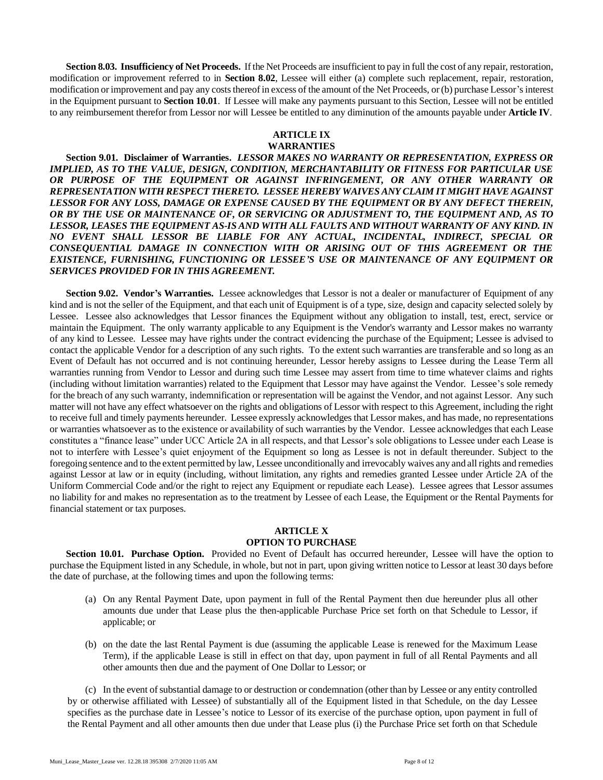**Section 8.03. Insufficiency of Net Proceeds.** If the Net Proceeds are insufficient to pay in full the cost of any repair, restoration, modification or improvement referred to in **Section 8.02**, Lessee will either (a) complete such replacement, repair, restoration, modification or improvement and pay any costs thereof in excess of the amount of the Net Proceeds, or (b) purchase Lessor's interest in the Equipment pursuant to **Section 10.01**. If Lessee will make any payments pursuant to this Section, Lessee will not be entitled to any reimbursement therefor from Lessor nor will Lessee be entitled to any diminution of the amounts payable under **Article IV**.

# **ARTICLE IX**

## **WARRANTIES**

**Section 9.01. Disclaimer of Warranties.** *LESSOR MAKES NO WARRANTY OR REPRESENTATION, EXPRESS OR IMPLIED, AS TO THE VALUE, DESIGN, CONDITION, MERCHANTABILITY OR FITNESS FOR PARTICULAR USE*  OR PURPOSE OF THE EQUIPMENT OR AGAINST INFRINGEMENT, OR ANY OTHER WARRANTY OR *REPRESENTATION WITH RESPECT THERETO. LESSEE HEREBY WAIVES ANY CLAIM IT MIGHT HAVE AGAINST LESSOR FOR ANY LOSS, DAMAGE OR EXPENSE CAUSED BY THE EQUIPMENT OR BY ANY DEFECT THEREIN, OR BY THE USE OR MAINTENANCE OF, OR SERVICING OR ADJUSTMENT TO, THE EQUIPMENT AND, AS TO LESSOR, LEASES THE EQUIPMENT AS-IS AND WITH ALL FAULTS AND WITHOUT WARRANTY OF ANY KIND. IN NO EVENT SHALL LESSOR BE LIABLE FOR ANY ACTUAL, INCIDENTAL, INDIRECT, SPECIAL OR CONSEQUENTIAL DAMAGE IN CONNECTION WITH OR ARISING OUT OF THIS AGREEMENT OR THE EXISTENCE, FURNISHING, FUNCTIONING OR LESSEE'S USE OR MAINTENANCE OF ANY EQUIPMENT OR SERVICES PROVIDED FOR IN THIS AGREEMENT.*

**Section 9.02. Vendor's Warranties.** Lessee acknowledges that Lessor is not a dealer or manufacturer of Equipment of any kind and is not the seller of the Equipment, and that each unit of Equipment is of a type, size, design and capacity selected solely by Lessee. Lessee also acknowledges that Lessor finances the Equipment without any obligation to install, test, erect, service or maintain the Equipment. The only warranty applicable to any Equipment is the Vendor's warranty and Lessor makes no warranty of any kind to Lessee. Lessee may have rights under the contract evidencing the purchase of the Equipment; Lessee is advised to contact the applicable Vendor for a description of any such rights. To the extent such warranties are transferable and so long as an Event of Default has not occurred and is not continuing hereunder, Lessor hereby assigns to Lessee during the Lease Term all warranties running from Vendor to Lessor and during such time Lessee may assert from time to time whatever claims and rights (including without limitation warranties) related to the Equipment that Lessor may have against the Vendor. Lessee's sole remedy for the breach of any such warranty, indemnification or representation will be against the Vendor, and not against Lessor. Any such matter will not have any effect whatsoever on the rights and obligations of Lessor with respect to this Agreement, including the right to receive full and timely payments hereunder. Lessee expressly acknowledges that Lessor makes, and has made, no representations or warranties whatsoever as to the existence or availability of such warranties by the Vendor. Lessee acknowledges that each Lease constitutes a "finance lease" under UCC Article 2A in all respects, and that Lessor's sole obligations to Lessee under each Lease is not to interfere with Lessee's quiet enjoyment of the Equipment so long as Lessee is not in default thereunder. Subject to the foregoing sentence and to the extent permitted by law, Lessee unconditionally and irrevocably waives any and all rights and remedies against Lessor at law or in equity (including, without limitation, any rights and remedies granted Lessee under Article 2A of the Uniform Commercial Code and/or the right to reject any Equipment or repudiate each Lease). Lessee agrees that Lessor assumes no liability for and makes no representation as to the treatment by Lessee of each Lease, the Equipment or the Rental Payments for financial statement or tax purposes.

#### **ARTICLE X OPTION TO PURCHASE**

**Section 10.01. Purchase Option.** Provided no Event of Default has occurred hereunder, Lessee will have the option to purchase the Equipment listed in any Schedule, in whole, but not in part, upon giving written notice to Lessor at least 30 days before the date of purchase, at the following times and upon the following terms:

- (a) On any Rental Payment Date, upon payment in full of the Rental Payment then due hereunder plus all other amounts due under that Lease plus the then-applicable Purchase Price set forth on that Schedule to Lessor, if applicable; or
- (b) on the date the last Rental Payment is due (assuming the applicable Lease is renewed for the Maximum Lease Term), if the applicable Lease is still in effect on that day, upon payment in full of all Rental Payments and all other amounts then due and the payment of One Dollar to Lessor; or

(c) In the event of substantial damage to or destruction or condemnation (other than by Lessee or any entity controlled by or otherwise affiliated with Lessee) of substantially all of the Equipment listed in that Schedule, on the day Lessee specifies as the purchase date in Lessee's notice to Lessor of its exercise of the purchase option, upon payment in full of the Rental Payment and all other amounts then due under that Lease plus (i) the Purchase Price set forth on that Schedule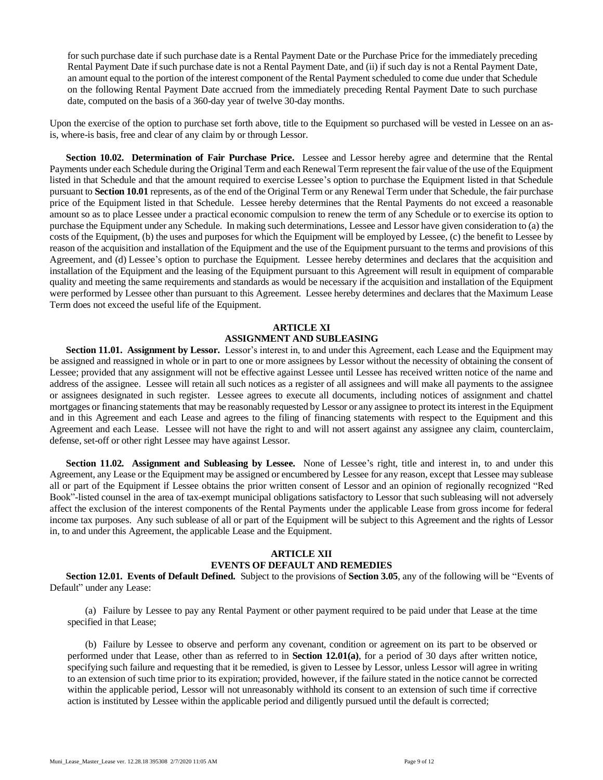for such purchase date if such purchase date is a Rental Payment Date or the Purchase Price for the immediately preceding Rental Payment Date if such purchase date is not a Rental Payment Date, and (ii) if such day is not a Rental Payment Date, an amount equal to the portion of the interest component of the Rental Payment scheduled to come due under that Schedule on the following Rental Payment Date accrued from the immediately preceding Rental Payment Date to such purchase date, computed on the basis of a 360-day year of twelve 30-day months.

Upon the exercise of the option to purchase set forth above, title to the Equipment so purchased will be vested in Lessee on an asis, where-is basis, free and clear of any claim by or through Lessor.

**Section 10.02. Determination of Fair Purchase Price.** Lessee and Lessor hereby agree and determine that the Rental Payments under each Schedule during the Original Term and each Renewal Term represent the fair value of the use of the Equipment listed in that Schedule and that the amount required to exercise Lessee's option to purchase the Equipment listed in that Schedule pursuant to **Section 10.01** represents, as of the end of the Original Term or any Renewal Term under that Schedule, the fair purchase price of the Equipment listed in that Schedule. Lessee hereby determines that the Rental Payments do not exceed a reasonable amount so as to place Lessee under a practical economic compulsion to renew the term of any Schedule or to exercise its option to purchase the Equipment under any Schedule. In making such determinations, Lessee and Lessor have given consideration to (a) the costs of the Equipment, (b) the uses and purposes for which the Equipment will be employed by Lessee, (c) the benefit to Lessee by reason of the acquisition and installation of the Equipment and the use of the Equipment pursuant to the terms and provisions of this Agreement, and (d) Lessee's option to purchase the Equipment. Lessee hereby determines and declares that the acquisition and installation of the Equipment and the leasing of the Equipment pursuant to this Agreement will result in equipment of comparable quality and meeting the same requirements and standards as would be necessary if the acquisition and installation of the Equipment were performed by Lessee other than pursuant to this Agreement. Lessee hereby determines and declares that the Maximum Lease Term does not exceed the useful life of the Equipment.

## **ARTICLE XI ASSIGNMENT AND SUBLEASING**

**Section 11.01. Assignment by Lessor.** Lessor's interest in, to and under this Agreement, each Lease and the Equipment may be assigned and reassigned in whole or in part to one or more assignees by Lessor without the necessity of obtaining the consent of Lessee; provided that any assignment will not be effective against Lessee until Lessee has received written notice of the name and address of the assignee. Lessee will retain all such notices as a register of all assignees and will make all payments to the assignee or assignees designated in such register. Lessee agrees to execute all documents, including notices of assignment and chattel mortgages or financing statements that may be reasonably requested by Lessor or any assignee to protect its interest in the Equipment and in this Agreement and each Lease and agrees to the filing of financing statements with respect to the Equipment and this Agreement and each Lease. Lessee will not have the right to and will not assert against any assignee any claim, counterclaim, defense, set-off or other right Lessee may have against Lessor.

**Section 11.02. Assignment and Subleasing by Lessee.** None of Lessee's right, title and interest in, to and under this Agreement, any Lease or the Equipment may be assigned or encumbered by Lessee for any reason, except that Lessee may sublease all or part of the Equipment if Lessee obtains the prior written consent of Lessor and an opinion of regionally recognized "Red Book"-listed counsel in the area of tax-exempt municipal obligations satisfactory to Lessor that such subleasing will not adversely affect the exclusion of the interest components of the Rental Payments under the applicable Lease from gross income for federal income tax purposes. Any such sublease of all or part of the Equipment will be subject to this Agreement and the rights of Lessor in, to and under this Agreement, the applicable Lease and the Equipment.

## **ARTICLE XII EVENTS OF DEFAULT AND REMEDIES**

**Section 12.01. Events of Default Defined.** Subject to the provisions of **Section 3.05**, any of the following will be "Events of Default" under any Lease:

(a) Failure by Lessee to pay any Rental Payment or other payment required to be paid under that Lease at the time specified in that Lease;

(b) Failure by Lessee to observe and perform any covenant, condition or agreement on its part to be observed or performed under that Lease, other than as referred to in **Section 12.01(a)**, for a period of 30 days after written notice, specifying such failure and requesting that it be remedied, is given to Lessee by Lessor, unless Lessor will agree in writing to an extension of such time prior to its expiration; provided, however, if the failure stated in the notice cannot be corrected within the applicable period, Lessor will not unreasonably withhold its consent to an extension of such time if corrective action is instituted by Lessee within the applicable period and diligently pursued until the default is corrected;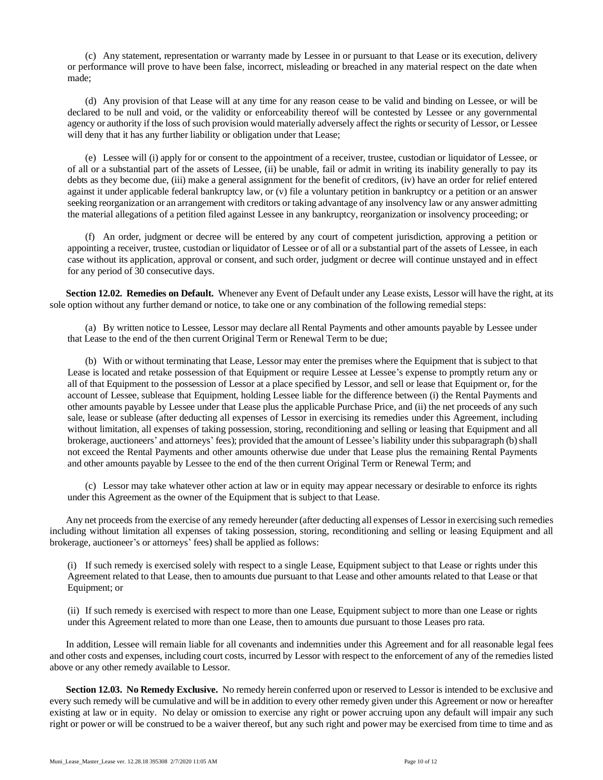(c) Any statement, representation or warranty made by Lessee in or pursuant to that Lease or its execution, delivery or performance will prove to have been false, incorrect, misleading or breached in any material respect on the date when made;

(d) Any provision of that Lease will at any time for any reason cease to be valid and binding on Lessee, or will be declared to be null and void, or the validity or enforceability thereof will be contested by Lessee or any governmental agency or authority if the loss of such provision would materially adversely affect the rights or security of Lessor, or Lessee will deny that it has any further liability or obligation under that Lease;

(e) Lessee will (i) apply for or consent to the appointment of a receiver, trustee, custodian or liquidator of Lessee, or of all or a substantial part of the assets of Lessee, (ii) be unable, fail or admit in writing its inability generally to pay its debts as they become due, (iii) make a general assignment for the benefit of creditors, (iv) have an order for relief entered against it under applicable federal bankruptcy law, or (v) file a voluntary petition in bankruptcy or a petition or an answer seeking reorganization or an arrangement with creditors or taking advantage of any insolvency law or any answer admitting the material allegations of a petition filed against Lessee in any bankruptcy, reorganization or insolvency proceeding; or

(f) An order, judgment or decree will be entered by any court of competent jurisdiction, approving a petition or appointing a receiver, trustee, custodian or liquidator of Lessee or of all or a substantial part of the assets of Lessee, in each case without its application, approval or consent, and such order, judgment or decree will continue unstayed and in effect for any period of 30 consecutive days.

**Section 12.02. Remedies on Default.** Whenever any Event of Default under any Lease exists, Lessor will have the right, at its sole option without any further demand or notice, to take one or any combination of the following remedial steps:

(a) By written notice to Lessee, Lessor may declare all Rental Payments and other amounts payable by Lessee under that Lease to the end of the then current Original Term or Renewal Term to be due;

(b) With or without terminating that Lease, Lessor may enter the premises where the Equipment that is subject to that Lease is located and retake possession of that Equipment or require Lessee at Lessee's expense to promptly return any or all of that Equipment to the possession of Lessor at a place specified by Lessor, and sell or lease that Equipment or, for the account of Lessee, sublease that Equipment, holding Lessee liable for the difference between (i) the Rental Payments and other amounts payable by Lessee under that Lease plus the applicable Purchase Price, and (ii) the net proceeds of any such sale, lease or sublease (after deducting all expenses of Lessor in exercising its remedies under this Agreement, including without limitation, all expenses of taking possession, storing, reconditioning and selling or leasing that Equipment and all brokerage, auctioneers' and attorneys' fees); provided that the amount of Lessee's liability under this subparagraph (b) shall not exceed the Rental Payments and other amounts otherwise due under that Lease plus the remaining Rental Payments and other amounts payable by Lessee to the end of the then current Original Term or Renewal Term; and

(c) Lessor may take whatever other action at law or in equity may appear necessary or desirable to enforce its rights under this Agreement as the owner of the Equipment that is subject to that Lease.

Any net proceeds from the exercise of any remedy hereunder (after deducting all expenses of Lessor in exercising such remedies including without limitation all expenses of taking possession, storing, reconditioning and selling or leasing Equipment and all brokerage, auctioneer's or attorneys' fees) shall be applied as follows:

(i) If such remedy is exercised solely with respect to a single Lease, Equipment subject to that Lease or rights under this Agreement related to that Lease, then to amounts due pursuant to that Lease and other amounts related to that Lease or that Equipment; or

(ii) If such remedy is exercised with respect to more than one Lease, Equipment subject to more than one Lease or rights under this Agreement related to more than one Lease, then to amounts due pursuant to those Leases pro rata.

In addition, Lessee will remain liable for all covenants and indemnities under this Agreement and for all reasonable legal fees and other costs and expenses, including court costs, incurred by Lessor with respect to the enforcement of any of the remedies listed above or any other remedy available to Lessor.

**Section 12.03. No Remedy Exclusive.** No remedy herein conferred upon or reserved to Lessor is intended to be exclusive and every such remedy will be cumulative and will be in addition to every other remedy given under this Agreement or now or hereafter existing at law or in equity. No delay or omission to exercise any right or power accruing upon any default will impair any such right or power or will be construed to be a waiver thereof, but any such right and power may be exercised from time to time and as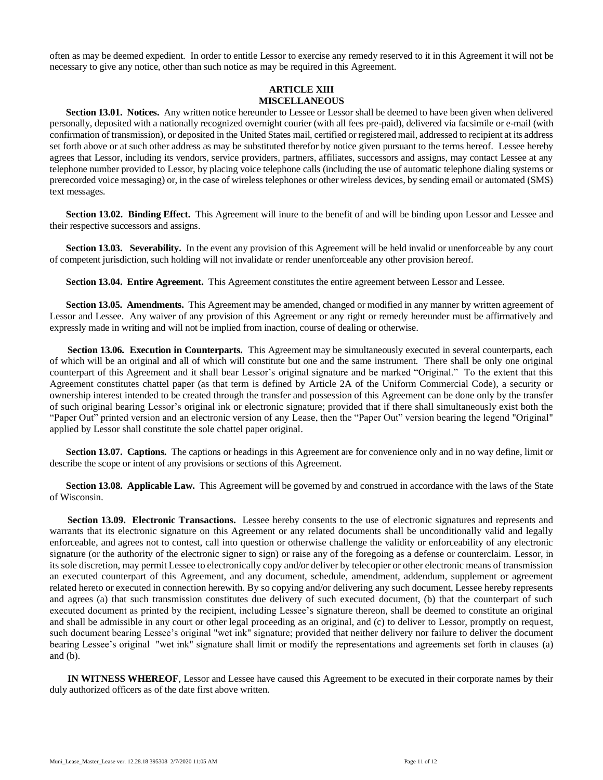often as may be deemed expedient. In order to entitle Lessor to exercise any remedy reserved to it in this Agreement it will not be necessary to give any notice, other than such notice as may be required in this Agreement.

#### **ARTICLE XIII MISCELLANEOUS**

**Section 13.01. Notices.** Any written notice hereunder to Lessee or Lessor shall be deemed to have been given when delivered personally, deposited with a nationally recognized overnight courier (with all fees pre-paid), delivered via facsimile or e-mail (with confirmation of transmission), or deposited in the United States mail, certified or registered mail, addressed to recipient at its address set forth above or at such other address as may be substituted therefor by notice given pursuant to the terms hereof. Lessee hereby agrees that Lessor, including its vendors, service providers, partners, affiliates, successors and assigns, may contact Lessee at any telephone number provided to Lessor, by placing voice telephone calls (including the use of automatic telephone dialing systems or prerecorded voice messaging) or, in the case of wireless telephones or other wireless devices, by sending email or automated (SMS) text messages.

**Section 13.02. Binding Effect.** This Agreement will inure to the benefit of and will be binding upon Lessor and Lessee and their respective successors and assigns.

**Section 13.03. Severability.** In the event any provision of this Agreement will be held invalid or unenforceable by any court of competent jurisdiction, such holding will not invalidate or render unenforceable any other provision hereof.

**Section 13.04. Entire Agreement.** This Agreement constitutes the entire agreement between Lessor and Lessee.

**Section 13.05. Amendments.** This Agreement may be amended, changed or modified in any manner by written agreement of Lessor and Lessee. Any waiver of any provision of this Agreement or any right or remedy hereunder must be affirmatively and expressly made in writing and will not be implied from inaction, course of dealing or otherwise.

**Section 13.06. Execution in Counterparts.** This Agreement may be simultaneously executed in several counterparts, each of which will be an original and all of which will constitute but one and the same instrument. There shall be only one original counterpart of this Agreement and it shall bear Lessor's original signature and be marked "Original." To the extent that this Agreement constitutes chattel paper (as that term is defined by Article 2A of the Uniform Commercial Code), a security or ownership interest intended to be created through the transfer and possession of this Agreement can be done only by the transfer of such original bearing Lessor's original ink or electronic signature; provided that if there shall simultaneously exist both the "Paper Out" printed version and an electronic version of any Lease, then the "Paper Out" version bearing the legend "Original" applied by Lessor shall constitute the sole chattel paper original.

**Section 13.07. Captions.** The captions or headings in this Agreement are for convenience only and in no way define, limit or describe the scope or intent of any provisions or sections of this Agreement.

**Section 13.08. Applicable Law.** This Agreement will be governed by and construed in accordance with the laws of the State of Wisconsin.

**Section 13.09. Electronic Transactions.** Lessee hereby consents to the use of electronic signatures and represents and warrants that its electronic signature on this Agreement or any related documents shall be unconditionally valid and legally enforceable, and agrees not to contest, call into question or otherwise challenge the validity or enforceability of any electronic signature (or the authority of the electronic signer to sign) or raise any of the foregoing as a defense or counterclaim. Lessor, in its sole discretion, may permit Lessee to electronically copy and/or deliver by telecopier or other electronic means of transmission an executed counterpart of this Agreement, and any document, schedule, amendment, addendum, supplement or agreement related hereto or executed in connection herewith. By so copying and/or delivering any such document, Lessee hereby represents and agrees (a) that such transmission constitutes due delivery of such executed document, (b) that the counterpart of such executed document as printed by the recipient, including Lessee's signature thereon, shall be deemed to constitute an original and shall be admissible in any court or other legal proceeding as an original, and (c) to deliver to Lessor, promptly on request, such document bearing Lessee's original "wet ink" signature; provided that neither delivery nor failure to deliver the document bearing Lessee's original "wet ink" signature shall limit or modify the representations and agreements set forth in clauses (a) and (b).

**IN WITNESS WHEREOF**, Lessor and Lessee have caused this Agreement to be executed in their corporate names by their duly authorized officers as of the date first above written.